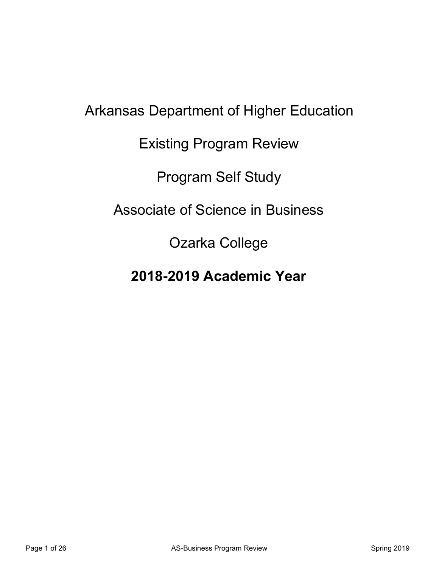# Arkansas Department of Higher Education Existing Program Review Program Self Study Associate of Science in Business Ozarka College

**2018-2019 Academic Year**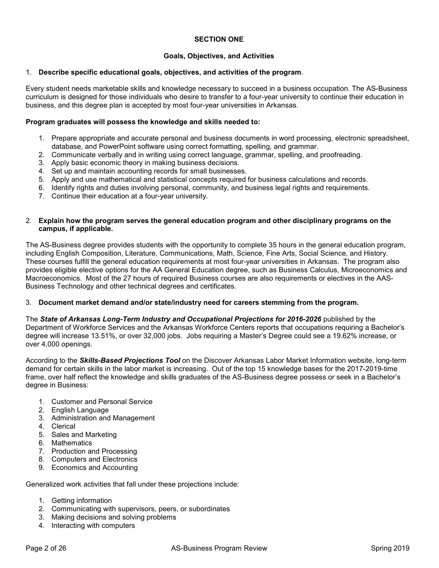#### **SECTION ONE**

#### **Goals, Objectives, and Activities**

#### 1. **Describe specific educational goals, objectives, and activities of the program**.

Every student needs marketable skills and knowledge necessary to succeed in a business occupation. The AS-Business curriculum is designed for those individuals who desire to transfer to a four-year university to continue their education in business, and this degree plan is accepted by most four-year universities in Arkansas.

#### **Program graduates will possess the knowledge and skills needed to:**

- 1. Prepare appropriate and accurate personal and business documents in word processing, electronic spreadsheet, database, and PowerPoint software using correct formatting, spelling, and grammar.
- 2. Communicate verbally and in writing using correct language, grammar, spelling, and proofreading.
- 3. Apply basic economic theory in making business decisions.
- 4. Set up and maintain accounting records for small businesses.
- 5. Apply and use mathematical and statistical concepts required for business calculations and records.
- 6. Identify rights and duties involving personal, community, and business legal rights and requirements.
- 7. Continue their education at a four-year university.

#### 2. **Explain how the program serves the general education program and other disciplinary programs on the campus, if applicable.**

The AS-Business degree provides students with the opportunity to complete 35 hours in the general education program, including English Composition, Literature, Communications, Math, Science, Fine Arts, Social Science, and History. These courses fulfill the general education requirements at most four-year universities in Arkansas. The program also provides eligible elective options for the AA General Education degree, such as Business Calculus, Microeconomics and Macroeconomics. Most of the 27 hours of required Business courses are also requirements or electives in the AAS-Business Technology and other technical degrees and certificates.

#### 3. **Document market demand and/or state/industry need for careers stemming from the program.**

The *State of Arkansas Long-Term Industry and Occupational Projections for 2016-2026* published by the Department of Workforce Services and the Arkansas Workforce Centers reports that occupations requiring a Bachelor's degree will increase 13.51%, or over 32,000 jobs. Jobs requiring a Master's Degree could see a 19.62% increase, or over 4,000 openings.

According to the *Skills-Based Projections Tool* on the Discover Arkansas Labor Market Information website, long-term demand for certain skills in the labor market is increasing. Out of the top 15 knowledge bases for the 2017-2019-time frame, over half reflect the knowledge and skills graduates of the AS-Business degree possess or seek in a Bachelor's degree in Business:

- 1. Customer and Personal Service
- 2. English Language
- 3. Administration and Management
- 4. Clerical
- 5. Sales and Marketing
- 6. Mathematics
- 7. Production and Processing
- 8. Computers and Electronics
- 9. Economics and Accounting

Generalized work activities that fall under these projections include:

- 1. Getting information
- 2. Communicating with supervisors, peers, or subordinates
- 3. Making decisions and solving problems
- 4. Interacting with computers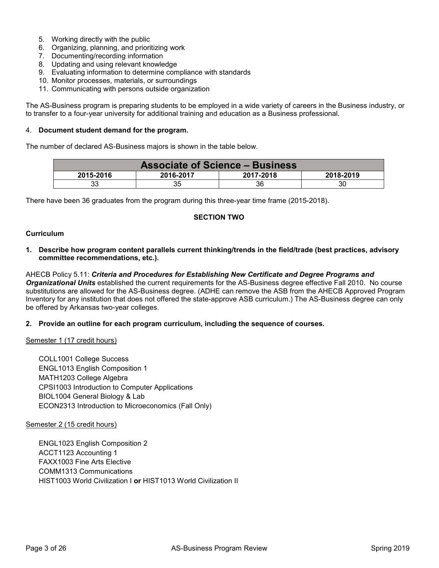- 5. Working directly with the public
- 6. Organizing, planning, and prioritizing work
- 7. Documenting/recording information
- 8. Updating and using relevant knowledge
- 9. Evaluating information to determine compliance with standards
- 10. Monitor processes, materials, or surroundings
- 11. Communicating with persons outside organization

The AS-Business program is preparing students to be employed in a wide variety of careers in the Business industry, or to transfer to a four-year university for additional training and education as a Business professional.

#### 4. **Document student demand for the program.**

The number of declared AS-Business majors is shown in the table below.

| <b>Associate of Science - Business</b>           |    |    |    |  |
|--------------------------------------------------|----|----|----|--|
| 2015-2016<br>2016-2017<br>2017-2018<br>2018-2019 |    |    |    |  |
| 33                                               | 35 | 36 | 30 |  |

There have been 36 graduates from the program during this three-year time frame (2015-2018).

#### **SECTION TWO**

#### **Curriculum**

**1. Describe how program content parallels current thinking/trends in the field/trade (best practices, advisory committee recommendations, etc.).** 

AHECB Policy 5.11: *Criteria and Procedures for Establishing New Certificate and Degree Programs and Organizational Units* established the current requirements for the AS-Business degree effective Fall 2010. No course substitutions are allowed for the AS-Business degree. (ADHE can remove the ASB from the AHECB Approved Program Inventory for any institution that does not offered the state-approve ASB curriculum.) The AS-Business degree can only be offered by Arkansas two-year colleges.

#### **2. Provide an outline for each program curriculum, including the sequence of courses.**

Semester 1 (17 credit hours)

COLL1001 College Success ENGL1013 English Composition 1 MATH1203 College Algebra CPSI1003 Introduction to Computer Applications BIOL1004 General Biology & Lab ECON2313 Introduction to Microeconomics (Fall Only)

#### Semester 2 (15 credit hours)

ENGL1023 English Composition 2 ACCT1123 Accounting 1 FAXX1003 Fine Arts Elective COMM1313 Communications HIST1003 World Civilization I **or** HIST1013 World Civilization II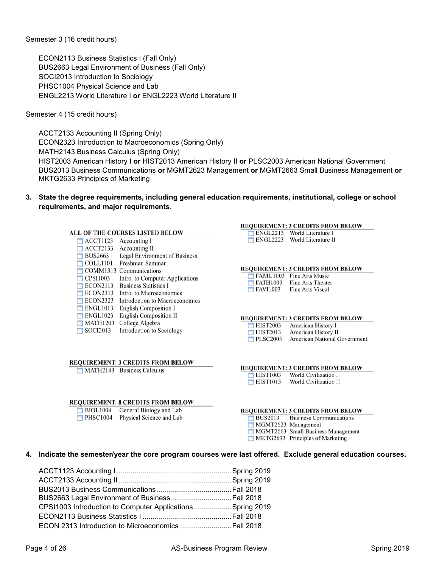#### Semester 3 (16 credit hours)

ECON2113 Business Statistics I (Fall Only) BUS2663 Legal Environment of Business (Fall Only) SOCI2013 Introduction to Sociology PHSC1004 Physical Science and Lab ENGL2213 World Literature I **or** ENGL2223 World Literature II

#### Semester 4 (15 credit hours)

ACCT2133 Accounting II (Spring Only) ECON2323 Introduction to Macroeconomics (Spring Only) MATH2143 Business Calculus (Spring Only) HIST2003 American History I **or** HIST2013 American History II **or** PLSC2003 American National Government BUS2013 Business Communications **or** MGMT2623 Management **or** MGMT2663 Small Business Management **or** MKTG2633 Principles of Marketing

**3. State the degree requirements, including general education requirements, institutional, college or school requirements, and major requirements**.

#### ALL OF THE COURSES LISTED BELOW

| ACCT1123        | Accounting I                    |
|-----------------|---------------------------------|
| <b>ACCT2133</b> | <b>Accounting II</b>            |
| <b>BUS2663</b>  | Legal Environment of Business   |
| <b>COLL1101</b> | Freshman Seminar                |
| COMM1313        | Communications                  |
| <b>CPSI1003</b> | Intro. to Computer Applications |
| ECON2113        | <b>Business Statistics I</b>    |
| <b>ECON2313</b> | Intro, to Microeconomics        |
| <b>ECON2323</b> | Introduction to Macroeconomics  |
| <b>ENGL1013</b> | <b>English Composition I</b>    |
| <b>ENGL1023</b> | <b>English Composition II</b>   |
| <b>MATH1203</b> | College Algebra                 |
| SOCI2013        | Introduction to Sociology       |

#### **REQUIREMENT: 3 CREDITS FROM BELOW**

 $MATH2143$  Business Calculus

#### **REQUIREMENT: 8 CREDITS FROM BELOW**

| <b>BIOL1004</b> | General Biology and Lab  |
|-----------------|--------------------------|
| <b>PHSC1004</b> | Physical Science and Lab |

#### **REQUIREMENT: 3 CREDITS FROM BELOW**

| ENGL2213 | World Literature I  |
|----------|---------------------|
| ENGL2223 | World Literature II |

#### **REQUIREMENT: 3 CREDITS FROM BELOW**

| <b>FAMU1003</b> | Fine Arts Music   |
|-----------------|-------------------|
| <b>EATH1003</b> | Fine Arts Theater |
| <b>EAVI1003</b> | Fine Arts Visual  |

#### **REQUIREMENT: 3 CREDITS FROM BELOW**

| <b>HIST2003</b> | American History I           |
|-----------------|------------------------------|
| <b>HIST2013</b> | American History II          |
| <b>PLSC2003</b> | American National Government |

#### **REQUIREMENT: 3 CREDITS FROM BELOW**

| <b>HIST1003</b> | World Civilization I |                       |
|-----------------|----------------------|-----------------------|
| <b>HIST1013</b> |                      | World Civilization II |

#### **REQUIREMENT: 3 CREDITS FROM BELOW**

| <b>BUS2013</b> | <b>Business Communications</b>     |
|----------------|------------------------------------|
|                | MGMT2623 Management                |
|                | MGMT2663 Small Business Management |
|                | MKTG2633 Principles of Marketing   |

#### **4. Indicate the semester/year the core program courses were last offered. Exclude general education courses.**

| BUS2663 Legal Environment of Business Fall 2018            |  |
|------------------------------------------------------------|--|
| CPSI1003 Introduction to Computer Applications Spring 2019 |  |
|                                                            |  |
| ECON 2313 Introduction to Microeconomics  Fall 2018        |  |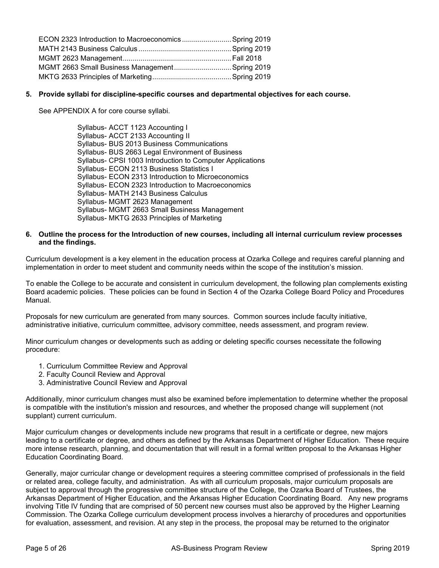| ECON 2323 Introduction to Macroeconomics  Spring 2019 |  |
|-------------------------------------------------------|--|
|                                                       |  |
|                                                       |  |
| MGMT 2663 Small Business Management Spring 2019       |  |
|                                                       |  |

#### **5. Provide syllabi for discipline-specific courses and departmental objectives for each course.**

See APPENDIX A for core course syllabi.

Syllabus- ACCT 1123 Accounting I Syllabus- ACCT 2133 Accounting II Syllabus- BUS 2013 Business Communications Syllabus- BUS 2663 Legal Environment of Business Syllabus- CPSI 1003 Introduction to Computer Applications Syllabus- ECON 2113 Business Statistics I Syllabus- ECON 2313 Introduction to Microeconomics Syllabus- ECON 2323 Introduction to Macroeconomics Syllabus- MATH 2143 Business Calculus Syllabus- MGMT 2623 Management Syllabus- MGMT 2663 Small Business Management Syllabus- MKTG 2633 Principles of Marketing

#### **6. Outline the process for the Introduction of new courses, including all internal curriculum review processes and the findings.**

Curriculum development is a key element in the education process at Ozarka College and requires careful planning and implementation in order to meet student and community needs within the scope of the institution's mission.

To enable the College to be accurate and consistent in curriculum development, the following plan complements existing Board academic policies. These policies can be found in Section 4 of the Ozarka College Board Policy and Procedures Manual.

Proposals for new curriculum are generated from many sources. Common sources include faculty initiative, administrative initiative, curriculum committee, advisory committee, needs assessment, and program review.

Minor curriculum changes or developments such as adding or deleting specific courses necessitate the following procedure:

- 1. Curriculum Committee Review and Approval
- 2. Faculty Council Review and Approval
- 3. Administrative Council Review and Approval

Additionally, minor curriculum changes must also be examined before implementation to determine whether the proposal is compatible with the institution's mission and resources, and whether the proposed change will supplement (not supplant) current curriculum.

Major curriculum changes or developments include new programs that result in a certificate or degree, new majors leading to a certificate or degree, and others as defined by the Arkansas Department of Higher Education. These require more intense research, planning, and documentation that will result in a formal written proposal to the Arkansas Higher Education Coordinating Board.

Generally, major curricular change or development requires a steering committee comprised of professionals in the field or related area, college faculty, and administration. As with all curriculum proposals, major curriculum proposals are subject to approval through the progressive committee structure of the College, the Ozarka Board of Trustees, the Arkansas Department of Higher Education, and the Arkansas Higher Education Coordinating Board. Any new programs involving Title IV funding that are comprised of 50 percent new courses must also be approved by the Higher Learning Commission. The Ozarka College curriculum development process involves a hierarchy of procedures and opportunities for evaluation, assessment, and revision. At any step in the process, the proposal may be returned to the originator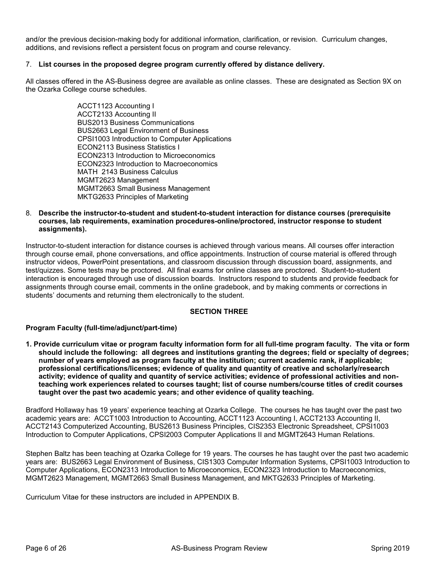and/or the previous decision-making body for additional information, clarification, or revision. Curriculum changes, additions, and revisions reflect a persistent focus on program and course relevancy.

#### 7. **List courses in the proposed degree program currently offered by distance delivery.**

All classes offered in the AS-Business degree are available as online classes. These are designated as Section 9X on the Ozarka College course schedules.

> ACCT1123 Accounting I ACCT2133 Accounting II BUS2013 Business Communications BUS2663 Legal Environment of Business CPSI1003 Introduction to Computer Applications ECON2113 Business Statistics I ECON2313 Introduction to Microeconomics ECON2323 Introduction to Macroeconomics MATH 2143 Business Calculus MGMT2623 Management MGMT2663 Small Business Management MKTG2633 Principles of Marketing

#### 8. **Describe the instructor-to-student and student-to-student interaction for distance courses (prerequisite courses, lab requirements, examination procedures-online/proctored, instructor response to student assignments).**

Instructor-to-student interaction for distance courses is achieved through various means. All courses offer interaction through course email, phone conversations, and office appointments. Instruction of course material is offered through instructor videos, PowerPoint presentations, and classroom discussion through discussion board, assignments, and test/quizzes. Some tests may be proctored. All final exams for online classes are proctored. Student-to-student interaction is encouraged through use of discussion boards. Instructors respond to students and provide feedback for assignments through course email, comments in the online gradebook, and by making comments or corrections in students' documents and returning them electronically to the student.

#### **SECTION THREE**

#### **Program Faculty (full-time/adjunct/part-time)**

**1. Provide curriculum vitae or program faculty information form for all full-time program faculty. The vita or form should include the following: all degrees and institutions granting the degrees; field or specialty of degrees; number of years employed as program faculty at the institution; current academic rank, if applicable; professional certifications/licenses; evidence of quality and quantity of creative and scholarly/research activity; evidence of quality and quantity of service activities; evidence of professional activities and nonteaching work experiences related to courses taught; list of course numbers/course titles of credit courses taught over the past two academic years; and other evidence of quality teaching.** 

Bradford Hollaway has 19 years' experience teaching at Ozarka College. The courses he has taught over the past two academic years are: ACCT1003 Introduction to Accounting, ACCT1123 Accounting I, ACCT2133 Accounting II, ACCT2143 Computerized Accounting, BUS2613 Business Principles, CIS2353 Electronic Spreadsheet, CPSI1003 Introduction to Computer Applications, CPSI2003 Computer Applications II and MGMT2643 Human Relations.

Stephen Baltz has been teaching at Ozarka College for 19 years. The courses he has taught over the past two academic years are: BUS2663 Legal Environment of Business, CIS1303 Computer Information Systems, CPSI1003 Introduction to Computer Applications, ECON2313 Introduction to Microeconomics, ECON2323 Introduction to Macroeconomics, MGMT2623 Management, MGMT2663 Small Business Management, and MKTG2633 Principles of Marketing.

Curriculum Vitae for these instructors are included in APPENDIX B.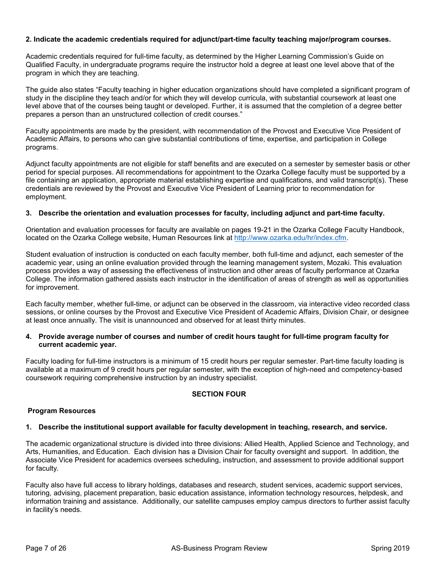#### **2. Indicate the academic credentials required for adjunct/part-time faculty teaching major/program courses.**

Academic credentials required for full-time faculty, as determined by the Higher Learning Commission's Guide on Qualified Faculty, in undergraduate programs require the instructor hold a degree at least one level above that of the program in which they are teaching.

The guide also states "Faculty teaching in higher education organizations should have completed a significant program of study in the discipline they teach and/or for which they will develop curricula, with substantial coursework at least one level above that of the courses being taught or developed. Further, it is assumed that the completion of a degree better prepares a person than an unstructured collection of credit courses."

Faculty appointments are made by the president, with recommendation of the Provost and Executive Vice President of Academic Affairs, to persons who can give substantial contributions of time, expertise, and participation in College programs.

Adjunct faculty appointments are not eligible for staff benefits and are executed on a semester by semester basis or other period for special purposes. All recommendations for appointment to the Ozarka College faculty must be supported by a file containing an application, appropriate material establishing expertise and qualifications, and valid transcript(s). These credentials are reviewed by the Provost and Executive Vice President of Learning prior to recommendation for employment.

#### **3. Describe the orientation and evaluation processes for faculty, including adjunct and part-time faculty.**

Orientation and evaluation processes for faculty are available on pages 19-21 in the Ozarka College Faculty Handbook, located on the Ozarka College website, Human Resources link at [http://www.ozarka.edu/hr/index.cfm.](http://www.ozarka.edu/hr/index.cfm)

Student evaluation of instruction is conducted on each faculty member, both full-time and adjunct, each semester of the academic year, using an online evaluation provided through the learning management system, Mozaki. This evaluation process provides a way of assessing the effectiveness of instruction and other areas of faculty performance at Ozarka College. The information gathered assists each instructor in the identification of areas of strength as well as opportunities for improvement.

Each faculty member, whether full-time, or adjunct can be observed in the classroom, via interactive video recorded class sessions, or online courses by the Provost and Executive Vice President of Academic Affairs, Division Chair, or designee at least once annually. The visit is unannounced and observed for at least thirty minutes.

#### **4. Provide average number of courses and number of credit hours taught for full-time program faculty for current academic year.**

Faculty loading for full-time instructors is a minimum of 15 credit hours per regular semester. Part-time faculty loading is available at a maximum of 9 credit hours per regular semester, with the exception of high-need and competency-based coursework requiring comprehensive instruction by an industry specialist.

#### **SECTION FOUR**

#### **Program Resources**

#### **1. Describe the institutional support available for faculty development in teaching, research, and service.**

The academic organizational structure is divided into three divisions: Allied Health, Applied Science and Technology, and Arts, Humanities, and Education. Each division has a Division Chair for faculty oversight and support. In addition, the Associate Vice President for academics oversees scheduling, instruction, and assessment to provide additional support for faculty.

Faculty also have full access to library holdings, databases and research, student services, academic support services, tutoring, advising, placement preparation, basic education assistance, information technology resources, helpdesk, and information training and assistance. Additionally, our satellite campuses employ campus directors to further assist faculty in facility's needs.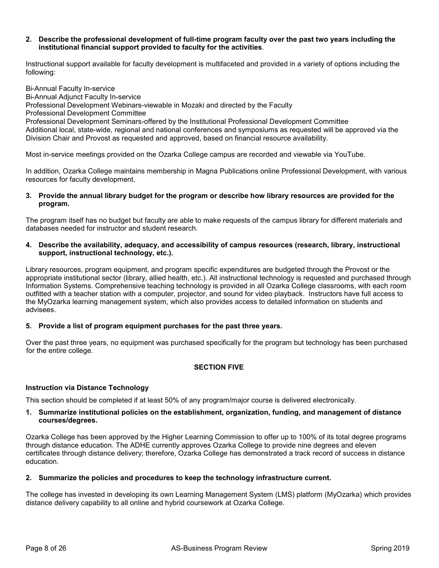#### **2. Describe the professional development of full-time program faculty over the past two years including the institutional financial support provided to faculty for the activities**.

Instructional support available for faculty development is multifaceted and provided in a variety of options including the following:

Bi-Annual Faculty In-service Bi-Annual Adjunct Faculty In-service Professional Development Webinars-viewable in Mozaki and directed by the Faculty Professional Development Committee Professional Development Seminars-offered by the Institutional Professional Development Committee Additional local, state-wide, regional and national conferences and symposiums as requested will be approved via the Division Chair and Provost as requested and approved, based on financial resource availability.

Most in-service meetings provided on the Ozarka College campus are recorded and viewable via YouTube.

In addition, Ozarka College maintains membership in Magna Publications online Professional Development, with various resources for faculty development.

#### **3. Provide the annual library budget for the program or describe how library resources are provided for the program.**

The program itself has no budget but faculty are able to make requests of the campus library for different materials and databases needed for instructor and student research.

#### **4. Describe the availability, adequacy, and accessibility of campus resources (research, library, instructional support, instructional technology, etc.).**

Library resources, program equipment, and program specific expenditures are budgeted through the Provost or the appropriate institutional sector (library, allied health, etc.). All instructional technology is requested and purchased through Information Systems. Comprehensive teaching technology is provided in all Ozarka College classrooms, with each room outfitted with a teacher station with a computer, projector, and sound for video playback. Instructors have full access to the MyOzarka learning management system, which also provides access to detailed information on students and advisees.

#### **5. Provide a list of program equipment purchases for the past three years.**

Over the past three years, no equipment was purchased specifically for the program but technology has been purchased for the entire college.

#### **SECTION FIVE**

#### **Instruction via Distance Technology**

This section should be completed if at least 50% of any program/major course is delivered electronically.

#### **1. Summarize institutional policies on the establishment, organization, funding, and management of distance courses/degrees.**

Ozarka College has been approved by the Higher Learning Commission to offer up to 100% of its total degree programs through distance education. The ADHE currently approves Ozarka College to provide nine degrees and eleven certificates through distance delivery; therefore, Ozarka College has demonstrated a track record of success in distance education.

#### **2. Summarize the policies and procedures to keep the technology infrastructure current.**

The college has invested in developing its own Learning Management System (LMS) platform (MyOzarka) which provides distance delivery capability to all online and hybrid coursework at Ozarka College.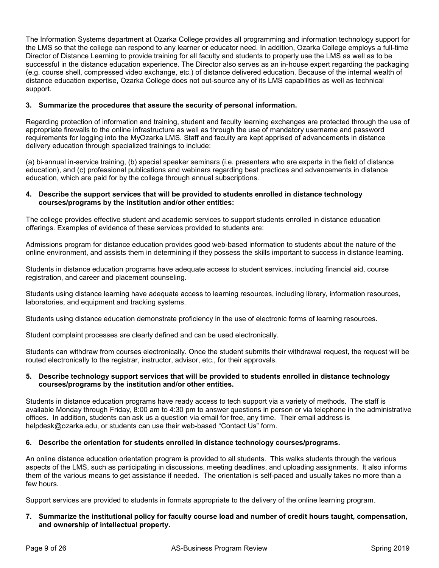The Information Systems department at Ozarka College provides all programming and information technology support for the LMS so that the college can respond to any learner or educator need. In addition, Ozarka College employs a full-time Director of Distance Learning to provide training for all faculty and students to properly use the LMS as well as to be successful in the distance education experience. The Director also serves as an in-house expert regarding the packaging (e.g. course shell, compressed video exchange, etc.) of distance delivered education. Because of the internal wealth of distance education expertise, Ozarka College does not out-source any of its LMS capabilities as well as technical support.

#### **3. Summarize the procedures that assure the security of personal information.**

Regarding protection of information and training, student and faculty learning exchanges are protected through the use of appropriate firewalls to the online infrastructure as well as through the use of mandatory username and password requirements for logging into the MyOzarka LMS. Staff and faculty are kept apprised of advancements in distance delivery education through specialized trainings to include:

(a) bi-annual in-service training, (b) special speaker seminars (i.e. presenters who are experts in the field of distance education), and (c) professional publications and webinars regarding best practices and advancements in distance education, which are paid for by the college through annual subscriptions.

#### **4. Describe the support services that will be provided to students enrolled in distance technology courses/programs by the institution and/or other entities:**

The college provides effective student and academic services to support students enrolled in distance education offerings. Examples of evidence of these services provided to students are:

Admissions program for distance education provides good web-based information to students about the nature of the online environment, and assists them in determining if they possess the skills important to success in distance learning.

Students in distance education programs have adequate access to student services, including financial aid, course registration, and career and placement counseling.

Students using distance learning have adequate access to learning resources, including library, information resources, laboratories, and equipment and tracking systems.

Students using distance education demonstrate proficiency in the use of electronic forms of learning resources.

Student complaint processes are clearly defined and can be used electronically.

Students can withdraw from courses electronically. Once the student submits their withdrawal request, the request will be routed electronically to the registrar, instructor, advisor, etc., for their approvals.

#### **5. Describe technology support services that will be provided to students enrolled in distance technology courses/programs by the institution and/or other entities.**

Students in distance education programs have ready access to tech support via a variety of methods. The staff is available Monday through Friday, 8:00 am to 4:30 pm to answer questions in person or via telephone in the administrative offices. In addition, students can ask us a question via email for free, any time. Their email address is helpdesk@ozarka.edu, or students can use their web-based "Contact Us" form.

#### **6. Describe the orientation for students enrolled in distance technology courses/programs.**

An online distance education orientation program is provided to all students. This walks students through the various aspects of the LMS, such as participating in discussions, meeting deadlines, and uploading assignments. It also informs them of the various means to get assistance if needed. The orientation is self-paced and usually takes no more than a few hours.

Support services are provided to students in formats appropriate to the delivery of the online learning program.

#### **7. Summarize the institutional policy for faculty course load and number of credit hours taught, compensation, and ownership of intellectual property.**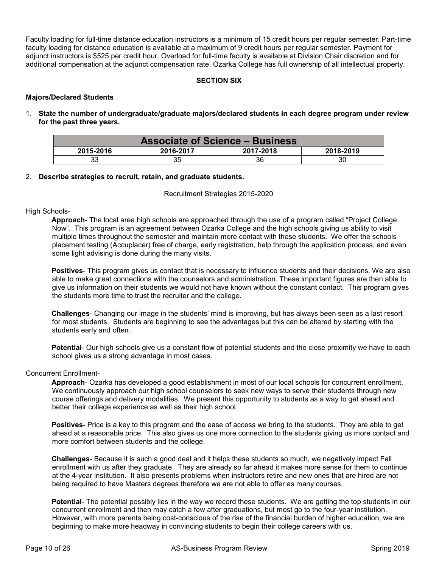Faculty loading for full-time distance education instructors is a minimum of 15 credit hours per regular semester. Part-time faculty loading for distance education is available at a maximum of 9 credit hours per regular semester. Payment for adjunct instructors is \$525 per credit hour. Overload for full-time faculty is available at Division Chair discretion and for additional compensation at the adjunct compensation rate. Ozarka College has full ownership of all intellectual property.

#### **SECTION SIX**

#### **Majors/Declared Students**

1. **State the number of undergraduate/graduate majors/declared students in each degree program under review for the past three years.** 

| <b>Associate of Science - Business</b>           |    |    |    |  |
|--------------------------------------------------|----|----|----|--|
| 2016-2017<br>2017-2018<br>2018-2019<br>2015-2016 |    |    |    |  |
| 33                                               | 35 | 36 | 30 |  |

#### 2. **Describe strategies to recruit, retain, and graduate students.**

Recruitment Strategies 2015-2020

#### High Schools-

**Approach**- The local area high schools are approached through the use of a program called "Project College Now". This program is an agreement between Ozarka College and the high schools giving us ability to visit multiple times throughout the semester and maintain more contact with these students. We offer the schools placement testing (Accuplacer) free of charge, early registration, help through the application process, and even some light advising is done during the many visits.

**Positives**- This program gives us contact that is necessary to influence students and their decisions. We are also able to make great connections with the counselors and administration. These important figures are then able to give us information on their students we would not have known without the constant contact. This program gives the students more time to trust the recruiter and the college.

**Challenges**- Changing our image in the students' mind is improving, but has always been seen as a last resort for most students. Students are beginning to see the advantages but this can be altered by starting with the students early and often.

**Potential**- Our high schools give us a constant flow of potential students and the close proximity we have to each school gives us a strong advantage in most cases.

#### Concurrent Enrollment-

**Approach**- Ozarka has developed a good establishment in most of our local schools for concurrent enrollment. We continuously approach our high school counselors to seek new ways to serve their students through new course offerings and delivery modalities. We present this opportunity to students as a way to get ahead and better their college experience as well as their high school.

**Positives**- Price is a key to this program and the ease of access we bring to the students. They are able to get ahead at a reasonable price. This also gives us one more connection to the students giving us more contact and more comfort between students and the college.

**Challenges**- Because it is such a good deal and it helps these students so much, we negatively impact Fall enrollment with us after they graduate. They are already so far ahead it makes more sense for them to continue at the 4-year institution. It also presents problems when instructors retire and new ones that are hired are not being required to have Masters degrees therefore we are not able to offer as many courses.

**Potential**- The potential possibly lies in the way we record these students. We are getting the top students in our concurrent enrollment and then may catch a few after graduations, but most go to the four-year institution. However, with more parents being cost-conscious of the rise of the financial burden of higher education, we are beginning to make more headway in convincing students to begin their college careers with us.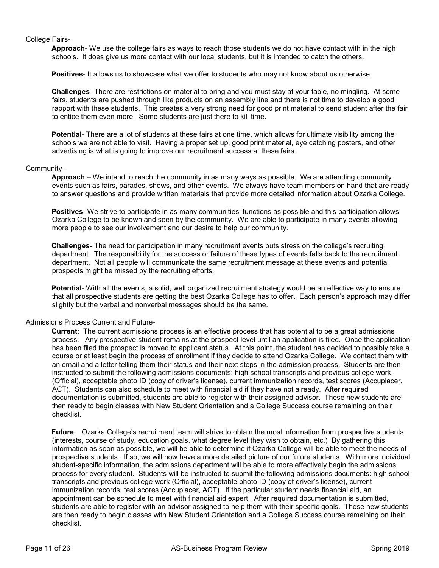#### College Fairs-

**Approach**- We use the college fairs as ways to reach those students we do not have contact with in the high schools. It does give us more contact with our local students, but it is intended to catch the others.

**Positives**- It allows us to showcase what we offer to students who may not know about us otherwise.

**Challenges**- There are restrictions on material to bring and you must stay at your table, no mingling. At some fairs, students are pushed through like products on an assembly line and there is not time to develop a good rapport with these students. This creates a very strong need for good print material to send student after the fair to entice them even more. Some students are just there to kill time.

**Potential**- There are a lot of students at these fairs at one time, which allows for ultimate visibility among the schools we are not able to visit. Having a proper set up, good print material, eye catching posters, and other advertising is what is going to improve our recruitment success at these fairs.

#### Community-

**Approach** – We intend to reach the community in as many ways as possible. We are attending community events such as fairs, parades, shows, and other events. We always have team members on hand that are ready to answer questions and provide written materials that provide more detailed information about Ozarka College.

**Positives**- We strive to participate in as many communities' functions as possible and this participation allows Ozarka College to be known and seen by the community. We are able to participate in many events allowing more people to see our involvement and our desire to help our community.

**Challenges**- The need for participation in many recruitment events puts stress on the college's recruiting department. The responsibility for the success or failure of these types of events falls back to the recruitment department. Not all people will communicate the same recruitment message at these events and potential prospects might be missed by the recruiting efforts.

**Potential**- With all the events, a solid, well organized recruitment strategy would be an effective way to ensure that all prospective students are getting the best Ozarka College has to offer. Each person's approach may differ slightly but the verbal and nonverbal messages should be the same.

#### Admissions Process Current and Future-

**Current**: The current admissions process is an effective process that has potential to be a great admissions process. Any prospective student remains at the prospect level until an application is filed. Once the application has been filed the prospect is moved to applicant status. At this point, the student has decided to possibly take a course or at least begin the process of enrollment if they decide to attend Ozarka College. We contact them with an email and a letter telling them their status and their next steps in the admission process. Students are then instructed to submit the following admissions documents: high school transcripts and previous college work (Official), acceptable photo ID (copy of driver's license), current immunization records, test scores (Accuplacer, ACT). Students can also schedule to meet with financial aid if they have not already. After required documentation is submitted, students are able to register with their assigned advisor. These new students are then ready to begin classes with New Student Orientation and a College Success course remaining on their checklist.

**Future**: Ozarka College's recruitment team will strive to obtain the most information from prospective students (interests, course of study, education goals, what degree level they wish to obtain, etc.) By gathering this information as soon as possible, we will be able to determine if Ozarka College will be able to meet the needs of prospective students. If so, we will now have a more detailed picture of our future students. With more individual student-specific information, the admissions department will be able to more effectively begin the admissions process for every student. Students will be instructed to submit the following admissions documents: high school transcripts and previous college work (Official), acceptable photo ID (copy of driver's license), current immunization records, test scores (Accuplacer, ACT). If the particular student needs financial aid, an appointment can be schedule to meet with financial aid expert. After required documentation is submitted, students are able to register with an advisor assigned to help them with their specific goals. These new students are then ready to begin classes with New Student Orientation and a College Success course remaining on their checklist.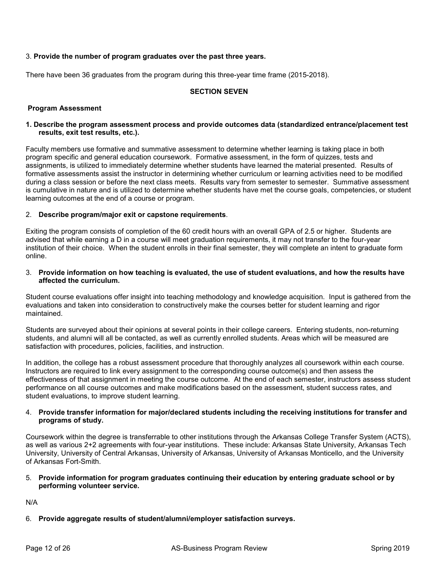#### 3. **Provide the number of program graduates over the past three years.**

There have been 36 graduates from the program during this three-year time frame (2015-2018).

#### **SECTION SEVEN**

#### **Program Assessment**

#### **1. Describe the program assessment process and provide outcomes data (standardized entrance/placement test results, exit test results, etc.).**

Faculty members use formative and summative assessment to determine whether learning is taking place in both program specific and general education coursework. Formative assessment, in the form of quizzes, tests and assignments, is utilized to immediately determine whether students have learned the material presented. Results of formative assessments assist the instructor in determining whether curriculum or learning activities need to be modified during a class session or before the next class meets. Results vary from semester to semester. Summative assessment is cumulative in nature and is utilized to determine whether students have met the course goals, competencies, or student learning outcomes at the end of a course or program.

#### 2. **Describe program/major exit or capstone requirements**.

Exiting the program consists of completion of the 60 credit hours with an overall GPA of 2.5 or higher. Students are advised that while earning a D in a course will meet graduation requirements, it may not transfer to the four-year institution of their choice. When the student enrolls in their final semester, they will complete an intent to graduate form online.

#### 3. **Provide information on how teaching is evaluated, the use of student evaluations, and how the results have affected the curriculum.**

Student course evaluations offer insight into teaching methodology and knowledge acquisition. Input is gathered from the evaluations and taken into consideration to constructively make the courses better for student learning and rigor maintained.

Students are surveyed about their opinions at several points in their college careers. Entering students, non-returning students, and alumni will all be contacted, as well as currently enrolled students. Areas which will be measured are satisfaction with procedures, policies, facilities, and instruction.

In addition, the college has a robust assessment procedure that thoroughly analyzes all coursework within each course. Instructors are required to link every assignment to the corresponding course outcome(s) and then assess the effectiveness of that assignment in meeting the course outcome. At the end of each semester, instructors assess student performance on all course outcomes and make modifications based on the assessment, student success rates, and student evaluations, to improve student learning.

#### 4. **Provide transfer information for major/declared students including the receiving institutions for transfer and programs of study.**

Coursework within the degree is transferrable to other institutions through the Arkansas College Transfer System (ACTS), as well as various 2+2 agreements with four-year institutions. These include: Arkansas State University, Arkansas Tech University, University of Central Arkansas, University of Arkansas, University of Arkansas Monticello, and the University of Arkansas Fort-Smith.

#### 5. **Provide information for program graduates continuing their education by entering graduate school or by performing volunteer service.**

N/A

6. **Provide aggregate results of student/alumni/employer satisfaction surveys.**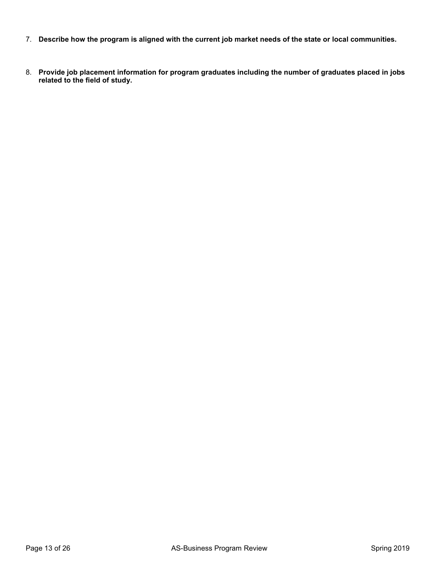- 7. **Describe how the program is aligned with the current job market needs of the state or local communities.**
- 8. **Provide job placement information for program graduates including the number of graduates placed in jobs related to the field of study.**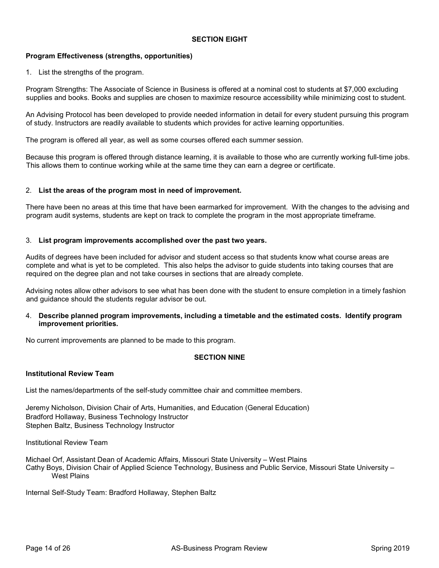#### **SECTION EIGHT**

#### **Program Effectiveness (strengths, opportunities)**

1. List the strengths of the program.

Program Strengths: The Associate of Science in Business is offered at a nominal cost to students at \$7,000 excluding supplies and books. Books and supplies are chosen to maximize resource accessibility while minimizing cost to student.

An Advising Protocol has been developed to provide needed information in detail for every student pursuing this program of study. Instructors are readily available to students which provides for active learning opportunities.

The program is offered all year, as well as some courses offered each summer session.

Because this program is offered through distance learning, it is available to those who are currently working full-time jobs. This allows them to continue working while at the same time they can earn a degree or certificate.

#### 2. **List the areas of the program most in need of improvement.**

There have been no areas at this time that have been earmarked for improvement. With the changes to the advising and program audit systems, students are kept on track to complete the program in the most appropriate timeframe.

#### 3. **List program improvements accomplished over the past two years.**

Audits of degrees have been included for advisor and student access so that students know what course areas are complete and what is yet to be completed. This also helps the advisor to guide students into taking courses that are required on the degree plan and not take courses in sections that are already complete.

Advising notes allow other advisors to see what has been done with the student to ensure completion in a timely fashion and guidance should the students regular advisor be out.

4. **Describe planned program improvements, including a timetable and the estimated costs. Identify program improvement priorities.** 

No current improvements are planned to be made to this program.

#### **SECTION NINE**

#### **Institutional Review Team**

List the names/departments of the self-study committee chair and committee members.

Jeremy Nicholson, Division Chair of Arts, Humanities, and Education (General Education) Bradford Hollaway, Business Technology Instructor Stephen Baltz, Business Technology Instructor

Institutional Review Team

Michael Orf, Assistant Dean of Academic Affairs, Missouri State University – West Plains Cathy Boys, Division Chair of Applied Science Technology, Business and Public Service, Missouri State University – West Plains

Internal Self-Study Team: Bradford Hollaway, Stephen Baltz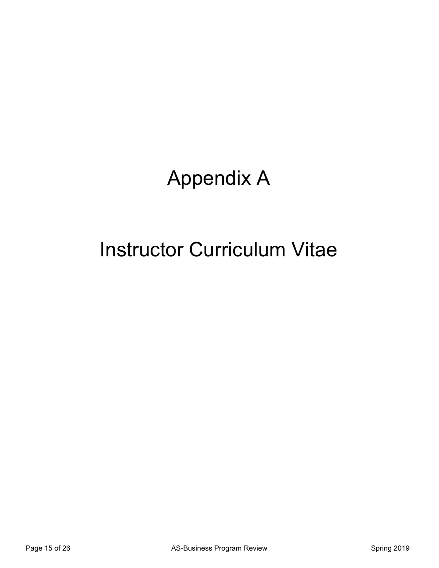## Appendix A

### Instructor Curriculum Vitae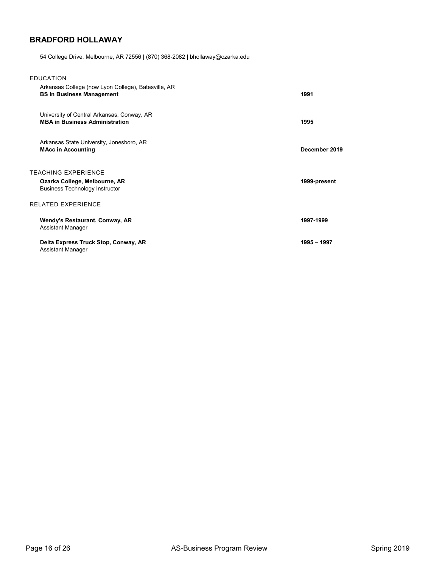#### **BRADFORD HOLLAWAY**

54 College Drive, Melbourne, AR 72556 | (870) 368-2082 | bhollaway@ozarka.edu

| <b>EDUCATION</b>                                                                                     |               |
|------------------------------------------------------------------------------------------------------|---------------|
| Arkansas College (now Lyon College), Batesville, AR<br><b>BS in Business Management</b>              | 1991          |
| University of Central Arkansas, Conway, AR<br><b>MBA in Business Administration</b>                  | 1995          |
| Arkansas State University, Jonesboro, AR<br><b>MAcc in Accounting</b>                                | December 2019 |
| <b>TEACHING EXPERIENCE</b><br>Ozarka College, Melbourne, AR<br><b>Business Technology Instructor</b> | 1999-present  |
| <b>RELATED EXPERIENCE</b>                                                                            |               |
| Wendy's Restaurant, Conway, AR<br>Assistant Manager                                                  | 1997-1999     |
| Delta Express Truck Stop, Conway, AR<br>Assistant Manager                                            | 1995 - 1997   |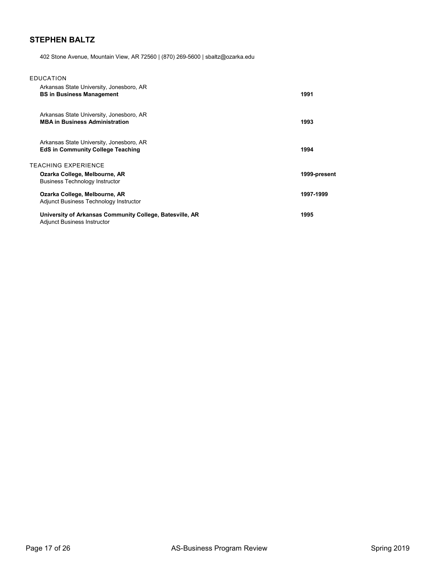### **STEPHEN BALTZ**

402 Stone Avenue, Mountain View, AR 72560 | (870) 269-5600 | sbaltz@ozarka.edu

| <b>EDUCATION</b> |
|------------------|
|------------------|

| Arkansas State University, Jonesboro, AR<br><b>BS in Business Management</b>                   | 1991         |
|------------------------------------------------------------------------------------------------|--------------|
| Arkansas State University, Jonesboro, AR<br><b>MBA in Business Administration</b>              | 1993         |
| Arkansas State University, Jonesboro, AR<br><b>EdS in Community College Teaching</b>           | 1994         |
| TEACHING EXPERIENCE                                                                            |              |
| Ozarka College, Melbourne, AR<br><b>Business Technology Instructor</b>                         | 1999-present |
| Ozarka College, Melbourne, AR<br>Adjunct Business Technology Instructor                        | 1997-1999    |
| University of Arkansas Community College, Batesville, AR<br><b>Adjunct Business Instructor</b> | 1995         |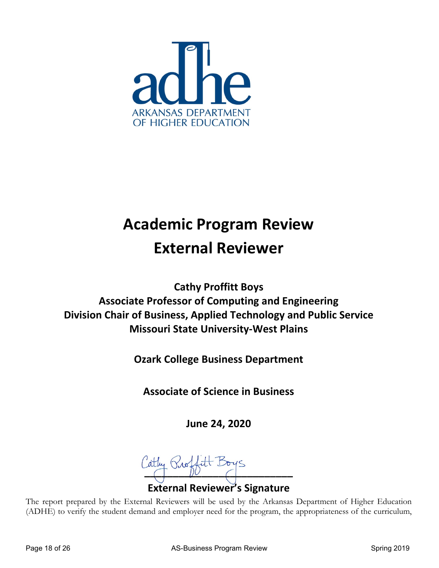

### **Academic Program Review External Reviewer**

**Cathy Proffitt Boys Associate Professor of Computing and Engineering Division Chair of Business, Applied Technology and Public Service Missouri State University-West Plains**

**Ozark College Business Department**

**Associate of Science in Business**

**June 24, 2020**

 $\int_0^\infty$ **External Reviewer's Signature**

The report prepared by the External Reviewers will be used by the Arkansas Department of Higher Education (ADHE) to verify the student demand and employer need for the program, the appropriateness of the curriculum,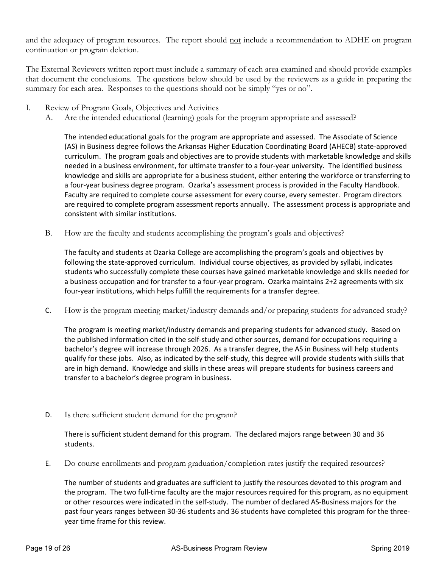and the adequacy of program resources. The report should not include a recommendation to ADHE on program continuation or program deletion.

The External Reviewers written report must include a summary of each area examined and should provide examples that document the conclusions. The questions below should be used by the reviewers as a guide in preparing the summary for each area. Responses to the questions should not be simply "yes or no".

- I. Review of Program Goals, Objectives and Activities
	- A. Are the intended educational (learning) goals for the program appropriate and assessed?

The intended educational goals for the program are appropriate and assessed. The Associate of Science (AS) in Business degree follows the Arkansas Higher Education Coordinating Board (AHECB) state-approved curriculum. The program goals and objectives are to provide students with marketable knowledge and skills needed in a business environment, for ultimate transfer to a four-year university. The identified business knowledge and skills are appropriate for a business student, either entering the workforce or transferring to a four-year business degree program. Ozarka's assessment process is provided in the Faculty Handbook. Faculty are required to complete course assessment for every course, every semester. Program directors are required to complete program assessment reports annually. The assessment process is appropriate and consistent with similar institutions.

B. How are the faculty and students accomplishing the program's goals and objectives?

The faculty and students at Ozarka College are accomplishing the program's goals and objectives by following the state-approved curriculum. Individual course objectives, as provided by syllabi, indicates students who successfully complete these courses have gained marketable knowledge and skills needed for a business occupation and for transfer to a four-year program. Ozarka maintains 2+2 agreements with six four-year institutions, which helps fulfill the requirements for a transfer degree.

C. How is the program meeting market/industry demands and/or preparing students for advanced study?

The program is meeting market/industry demands and preparing students for advanced study. Based on the published information cited in the self-study and other sources, demand for occupations requiring a bachelor's degree will increase through 2026. As a transfer degree, the AS in Business will help students qualify for these jobs. Also, as indicated by the self-study, this degree will provide students with skills that are in high demand. Knowledge and skills in these areas will prepare students for business careers and transfer to a bachelor's degree program in business.

D. Is there sufficient student demand for the program?

There is sufficient student demand for this program. The declared majors range between 30 and 36 students.

E. Do course enrollments and program graduation/completion rates justify the required resources?

The number of students and graduates are sufficient to justify the resources devoted to this program and the program. The two full-time faculty are the major resources required for this program, as no equipment or other resources were indicated in the self-study. The number of declared AS-Business majors for the past four years ranges between 30-36 students and 36 students have completed this program for the threeyear time frame for this review.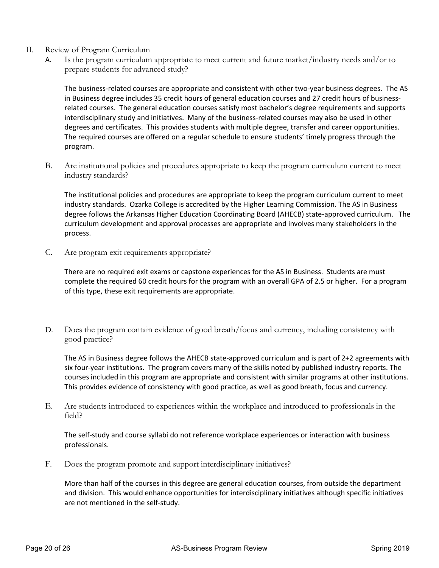- II. Review of Program Curriculum
	- A. Is the program curriculum appropriate to meet current and future market/industry needs and/or to prepare students for advanced study?

The business-related courses are appropriate and consistent with other two-year business degrees. The AS in Business degree includes 35 credit hours of general education courses and 27 credit hours of businessrelated courses. The general education courses satisfy most bachelor's degree requirements and supports interdisciplinary study and initiatives. Many of the business-related courses may also be used in other degrees and certificates. This provides students with multiple degree, transfer and career opportunities. The required courses are offered on a regular schedule to ensure students' timely progress through the program.

B. Are institutional policies and procedures appropriate to keep the program curriculum current to meet industry standards?

The institutional policies and procedures are appropriate to keep the program curriculum current to meet industry standards. Ozarka College is accredited by the Higher Learning Commission. The AS in Business degree follows the Arkansas Higher Education Coordinating Board (AHECB) state-approved curriculum. The curriculum development and approval processes are appropriate and involves many stakeholders in the process.

C. Are program exit requirements appropriate?

There are no required exit exams or capstone experiences for the AS in Business. Students are must complete the required 60 credit hours for the program with an overall GPA of 2.5 or higher. For a program of this type, these exit requirements are appropriate.

D. Does the program contain evidence of good breath/focus and currency, including consistency with good practice?

The AS in Business degree follows the AHECB state-approved curriculum and is part of 2+2 agreements with six four-year institutions. The program covers many of the skills noted by published industry reports. The courses included in this program are appropriate and consistent with similar programs at other institutions. This provides evidence of consistency with good practice, as well as good breath, focus and currency.

E. Are students introduced to experiences within the workplace and introduced to professionals in the field?

The self-study and course syllabi do not reference workplace experiences or interaction with business professionals.

F. Does the program promote and support interdisciplinary initiatives?

More than half of the courses in this degree are general education courses, from outside the department and division. This would enhance opportunities for interdisciplinary initiatives although specific initiatives are not mentioned in the self-study.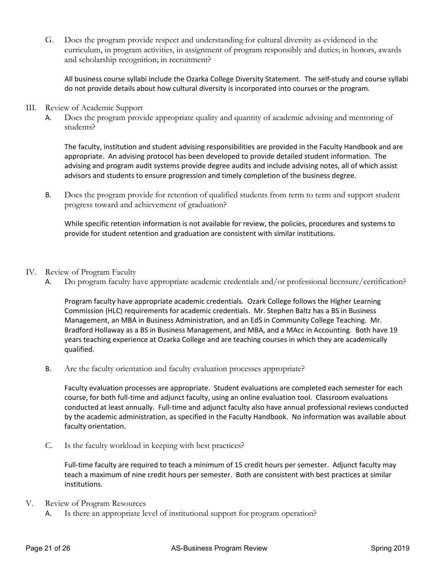G. Does the program provide respect and understanding for cultural diversity as evidenced in the curriculum, in program activities, in assignment of program responsibly and duties; in honors, awards and scholarship recognition; in recruitment?

All business course syllabi include the Ozarka College Diversity Statement. The self-study and course syllabi do not provide details about how cultural diversity is incorporated into courses or the program.

- III. Review of Academic Support
	- A. Does the program provide appropriate quality and quantity of academic advising and mentoring of students?

The faculty, institution and student advising responsibilities are provided in the Faculty Handbook and are appropriate. An advising protocol has been developed to provide detailed student information. The advising and program audit systems provide degree audits and include advising notes, all of which assist advisors and students to ensure progression and timely completion of the business degree.

B. Does the program provide for retention of qualified students from term to term and support student progress toward and achievement of graduation?

While specific retention information is not available for review, the policies, procedures and systems to provide for student retention and graduation are consistent with similar institutions.

#### IV. Review of Program Faculty

A. Do program faculty have appropriate academic credentials and/or professional licensure/certification?

Program faculty have appropriate academic credentials. Ozark College follows the Higher Learning Commission (HLC) requirements for academic credentials. Mr. Stephen Baltz has a BS in Business Management, an MBA in Business Administration, and an EdS in Community College Teaching. Mr. Bradford Hollaway as a BS in Business Management, and MBA, and a MAcc in Accounting. Both have 19 years teaching experience at Ozarka College and are teaching courses in which they are academically qualified.

B. Are the faculty orientation and faculty evaluation processes appropriate?

Faculty evaluation processes are appropriate. Student evaluations are completed each semester for each course, for both full-time and adjunct faculty, using an online evaluation tool. Classroom evaluations conducted at least annually. Full-time and adjunct faculty also have annual professional reviews conducted by the academic administration, as specified in the Faculty Handbook. No information was available about faculty orientation.

C. Is the faculty workload in keeping with best practices?

Full-time faculty are required to teach a minimum of 15 credit hours per semester. Adjunct faculty may teach a maximum of nine credit hours per semester. Both are consistent with best practices at similar institutions.

#### V. Review of Program Resources

A. Is there an appropriate level of institutional support for program operation?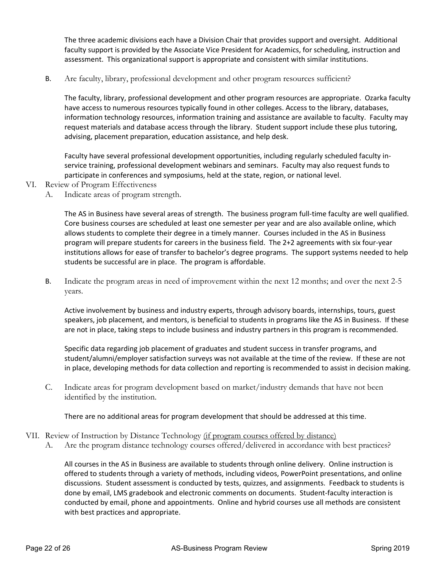The three academic divisions each have a Division Chair that provides support and oversight. Additional faculty support is provided by the Associate Vice President for Academics, for scheduling, instruction and assessment. This organizational support is appropriate and consistent with similar institutions.

B. Are faculty, library, professional development and other program resources sufficient?

The faculty, library, professional development and other program resources are appropriate. Ozarka faculty have access to numerous resources typically found in other colleges. Access to the library, databases, information technology resources, information training and assistance are available to faculty. Faculty may request materials and database access through the library. Student support include these plus tutoring, advising, placement preparation, education assistance, and help desk.

Faculty have several professional development opportunities, including regularly scheduled faculty inservice training, professional development webinars and seminars. Faculty may also request funds to participate in conferences and symposiums, held at the state, region, or national level.

- VI. Review of Program Effectiveness
	- A. Indicate areas of program strength.

The AS in Business have several areas of strength. The business program full-time faculty are well qualified. Core business courses are scheduled at least one semester per year and are also available online, which allows students to complete their degree in a timely manner. Courses included in the AS in Business program will prepare students for careers in the business field. The 2+2 agreements with six four-year institutions allows for ease of transfer to bachelor's degree programs. The support systems needed to help students be successful are in place. The program is affordable.

B. Indicate the program areas in need of improvement within the next 12 months; and over the next 2-5 years.

Active involvement by business and industry experts, through advisory boards, internships, tours, guest speakers, job placement, and mentors, is beneficial to students in programs like the AS in Business. If these are not in place, taking steps to include business and industry partners in this program is recommended.

Specific data regarding job placement of graduates and student success in transfer programs, and student/alumni/employer satisfaction surveys was not available at the time of the review. If these are not in place, developing methods for data collection and reporting is recommended to assist in decision making.

C. Indicate areas for program development based on market/industry demands that have not been identified by the institution.

There are no additional areas for program development that should be addressed at this time.

- VII. Review of Instruction by Distance Technology (if program courses offered by distance)
	- A. Are the program distance technology courses offered/delivered in accordance with best practices?

All courses in the AS in Business are available to students through online delivery. Online instruction is offered to students through a variety of methods, including videos, PowerPoint presentations, and online discussions. Student assessment is conducted by tests, quizzes, and assignments. Feedback to students is done by email, LMS gradebook and electronic comments on documents. Student-faculty interaction is conducted by email, phone and appointments. Online and hybrid courses use all methods are consistent with best practices and appropriate.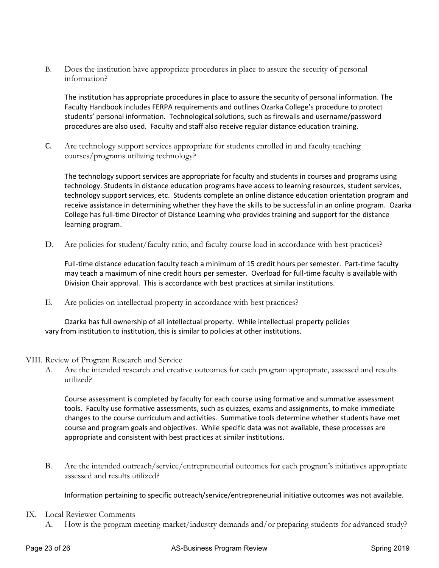B. Does the institution have appropriate procedures in place to assure the security of personal information?

The institution has appropriate procedures in place to assure the security of personal information. The Faculty Handbook includes FERPA requirements and outlines Ozarka College's procedure to protect students' personal information. Technological solutions, such as firewalls and username/password procedures are also used. Faculty and staff also receive regular distance education training.

C. Are technology support services appropriate for students enrolled in and faculty teaching courses/programs utilizing technology?

The technology support services are appropriate for faculty and students in courses and programs using technology. Students in distance education programs have access to learning resources, student services, technology support services, etc. Students complete an online distance education orientation program and receive assistance in determining whether they have the skills to be successful in an online program. Ozarka College has full-time Director of Distance Learning who provides training and support for the distance learning program.

D. Are policies for student/faculty ratio, and faculty course load in accordance with best practices?

Full-time distance education faculty teach a minimum of 15 credit hours per semester. Part-time faculty may teach a maximum of nine credit hours per semester. Overload for full-time faculty is available with Division Chair approval. This is accordance with best practices at similar institutions.

E. Are policies on intellectual property in accordance with best practices?

Ozarka has full ownership of all intellectual property. While intellectual property policies vary from institution to institution, this is similar to policies at other institutions.

- VIII. Review of Program Research and Service
	- A. Are the intended research and creative outcomes for each program appropriate, assessed and results utilized?

Course assessment is completed by faculty for each course using formative and summative assessment tools. Faculty use formative assessments, such as quizzes, exams and assignments, to make immediate changes to the course curriculum and activities. Summative tools determine whether students have met course and program goals and objectives. While specific data was not available, these processes are appropriate and consistent with best practices at similar institutions.

B. Are the intended outreach/service/entrepreneurial outcomes for each program's initiatives appropriate assessed and results utilized?

Information pertaining to specific outreach/service/entrepreneurial initiative outcomes was not available.

- IX. Local Reviewer Comments
	- A. How is the program meeting market/industry demands and/or preparing students for advanced study?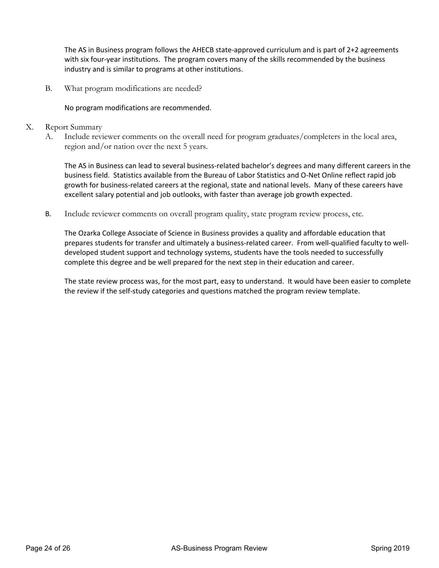The AS in Business program follows the AHECB state-approved curriculum and is part of 2+2 agreements with six four-year institutions. The program covers many of the skills recommended by the business industry and is similar to programs at other institutions.

B. What program modifications are needed?

No program modifications are recommended.

- X. Report Summary
	- A. Include reviewer comments on the overall need for program graduates/completers in the local area, region and/or nation over the next 5 years.

The AS in Business can lead to several business-related bachelor's degrees and many different careers in the business field. Statistics available from the Bureau of Labor Statistics and O-Net Online reflect rapid job growth for business-related careers at the regional, state and national levels. Many of these careers have excellent salary potential and job outlooks, with faster than average job growth expected.

B. Include reviewer comments on overall program quality, state program review process, etc.

The Ozarka College Associate of Science in Business provides a quality and affordable education that prepares students for transfer and ultimately a business-related career. From well-qualified faculty to welldeveloped student support and technology systems, students have the tools needed to successfully complete this degree and be well prepared for the next step in their education and career.

The state review process was, for the most part, easy to understand. It would have been easier to complete the review if the self-study categories and questions matched the program review template.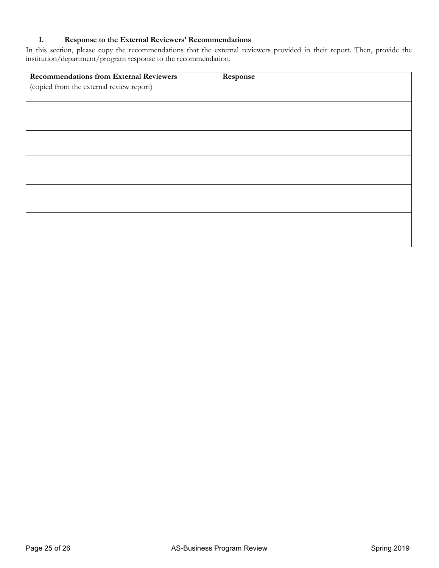#### **I. Response to the External Reviewers' Recommendations**

In this section, please copy the recommendations that the external reviewers provided in their report. Then, provide the institution/department/program response to the recommendation.

| <b>Recommendations from External Reviewers</b> | Response |
|------------------------------------------------|----------|
| (copied from the external review report)       |          |
|                                                |          |
|                                                |          |
|                                                |          |
|                                                |          |
|                                                |          |
|                                                |          |
|                                                |          |
|                                                |          |
|                                                |          |
|                                                |          |
|                                                |          |
|                                                |          |
|                                                |          |
|                                                |          |
|                                                |          |